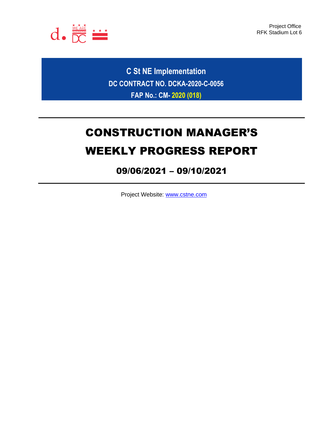

Project Office RFK Stadium Lot 6

**C St NE Implementation DC CONTRACT NO. DCKA-2020-C-0056 FAP No.: CM- 2020 (018)**

# CONSTRUCTION MANAGER'S WEEKLY PROGRESS REPORT

## 09/06/2021 – 09/10/2021

Project Website: [www.cstne.com](http://www.cstne.com/)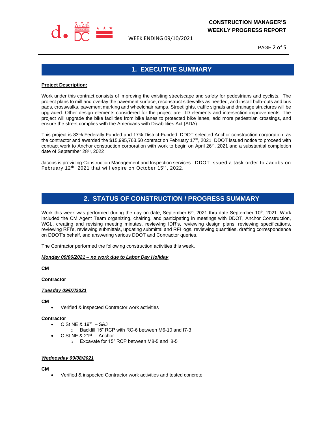

WEEK ENDING 09/10/2021

PAGE 2 of 5

## **1. EXECUTIVE SUMMARY**

#### **Project Description:**

Work under this contract consists of improving the existing streetscape and safety for pedestrians and cyclists. The project plans to mill and overlay the pavement surface, reconstruct sidewalks as needed, and install bulb-outs and bus pads, crosswalks, pavement marking and wheelchair ramps. Streetlights, traffic signals and drainage structures will be upgraded. Other design elements considered for the project are LID elements and intersection improvements. The project will upgrade the bike facilities from bike lanes to protected bike lanes, add more pedestrian crossings, and ensure the street complies with the Americans with Disabilities Act (ADA).

This project is 83% Federally Funded and 17% District-Funded. DDOT selected Anchor construction corporation. as the contractor and awarded the \$15,995,763.50 contract on February 17<sup>th</sup>, 2021. DDOT issued notice to proceed with contract work to Anchor construction corporation with work to begin on April 26<sup>th</sup>, 2021 and a substantial completion date of September 28th, 2022

Jacobs is providing Construction Management and Inspection services. DDOT issued a task order to Jacobs on February 12<sup>th</sup>, 2021 that will expire on October 15<sup>th</sup>, 2022.

### **2. STATUS OF CONSTRUCTION / PROGRESS SUMMARY**

Work this week was performed during the day on date, September 6<sup>th</sup>, 2021 thru date September 10<sup>th</sup>, 2021. Work included the CM Agent Team organizing, chairing, and participating in meetings with DDOT, Anchor Construction, WGL, creating and revising meeting minutes, reviewing IDR's, reviewing design plans, reviewing specifications, reviewing RFI's, reviewing submittals, updating submittal and RFI logs, reviewing quantities, drafting correspondence on DDOT's behalf, and answering various DDOT and Contractor queries.

The Contractor performed the following construction activities this week.

#### *Monday 09/06/2021 – no work due to Labor Day Holiday*

**CM**

**Contractor**

#### *Tuesday 09/07/2021*

**CM**

• Verified & inspected Contractor work activities

#### **Contractor**

- $C$  St NE & 19<sup>th</sup>  $-$  S&J
	- o Backfill 15" RCP with RC-6 between M6-10 and I7-3
- $\bullet$  C St NE & 21<sup>st</sup> Anchor o Excavate for 15" RCP between M8-5 and I8-5

#### *Wednesday 09/08/2021*

**CM**

• Verified & inspected Contractor work activities and tested concrete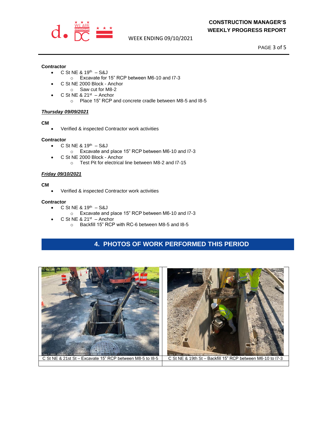

WEEK ENDING 09/10/2021

PAGE 3 of 5

#### **Contractor**

- $C$  St NE & 19<sup>th</sup>  $-$  S&J
	- o Excavate for 15" RCP between M6-10 and I7-3
- C St NE 2000 Block Anchor
- o Saw cut for M8-2
- $\bullet$  C St NE & 21<sup>st</sup> Anchor
	- o Place 15" RCP and concrete cradle between M8-5 and I8-5

#### *Thursday 09/09/2021*

#### **CM**

• Verified & inspected Contractor work activities

#### **Contractor**

- $C$  St NE & 19<sup>th</sup>  $-$  S&J
	- o Excavate and place 15" RCP between M6-10 and I7-3
- C St NE 2000 Block Anchor
	- o Test Pit for electrical line between M8-2 and I7-15

#### *Friday 09/10/2021*

#### **CM**

• Verified & inspected Contractor work activities

#### **Contractor**

- $C$  St NE & 19<sup>th</sup>  $-$  S&J
	- o Excavate and place 15" RCP between M6-10 and I7-3
- $\bullet$  C St NE & 21<sup>st</sup> Anchor
	- o Backfill 15" RCP with RC-6 between M8-5 and I8-5

## **4. PHOTOS OF WORK PERFORMED THIS PERIOD**

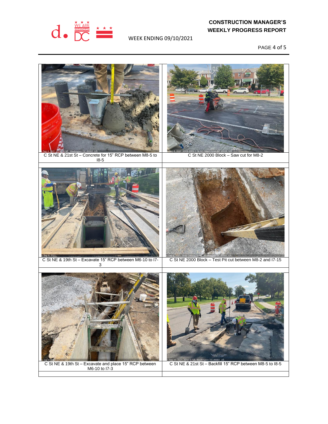

### **CONSTRUCTION MANAGER'S WEEKLY PROGRESS REPORT**

WEEK ENDING 09/10/2021

PAGE 4 of 5